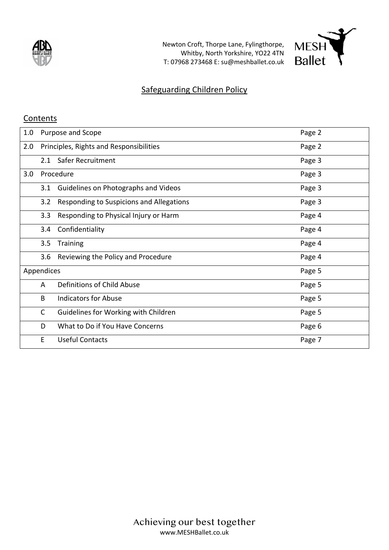

Newton Croft, Thorpe Lane, Fylingthorpe, Whitby, North Yorkshire, YO22 4TN T: 07968 273468 E: su@meshballet.co.uk



## Safeguarding Children Policy

#### **Contents**

| 1.0 | Purpose and Scope |                                          | Page 2 |
|-----|-------------------|------------------------------------------|--------|
| 2.0 |                   | Principles, Rights and Responsibilities  | Page 2 |
|     |                   | 2.1 Safer Recruitment                    | Page 3 |
| 3.0 |                   | Procedure                                | Page 3 |
|     | 3.1               | Guidelines on Photographs and Videos     | Page 3 |
|     | 3.2               | Responding to Suspicions and Allegations | Page 3 |
|     | 3.3               | Responding to Physical Injury or Harm    | Page 4 |
|     | 3.4               | Confidentiality                          | Page 4 |
|     | 3.5               | <b>Training</b>                          | Page 4 |
|     |                   | 3.6 Reviewing the Policy and Procedure   | Page 4 |
|     | Appendices        |                                          | Page 5 |
|     | A                 | Definitions of Child Abuse               | Page 5 |
|     | B                 | <b>Indicators for Abuse</b>              | Page 5 |
|     | $\mathsf{C}$      | Guidelines for Working with Children     | Page 5 |
|     | D                 | What to Do if You Have Concerns          | Page 6 |
|     | E                 | <b>Useful Contacts</b>                   | Page 7 |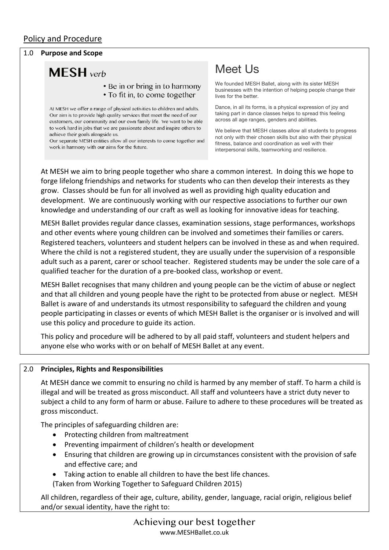#### Policy and Procedure

#### 1.0 **Purpose and Scope**

# **MESH** verb

#### • Be in or bring in to harmony • To fit in, to come together

At MESH we offer a range of physical activities to children and adults. Our aim is to provide high quality services that meet the need of our customers, our community and our own family life. We want to be able to work hard in jobs that we are passionate about and inspire others to achieve their goals alongside us

Our separate MESH entities allow all our interests to come together and work in harmony with our aims for the future.

## Meet Us

We founded MESH Ballet, along with its sister MESH businesses with the intention of helping people change their lives for the better.

Dance, in all its forms, is a physical expression of joy and taking part in dance classes helps to spread this feeling across all age ranges, genders and abilities.

We believe that MESH classes allow all students to progress not only with their chosen skills but also with their physical fitness, balance and coordination as well with their interpersonal skills, teamworking and resilience.

At MESH we aim to bring people together who share a common interest. In doing this we hope to forge lifelong friendships and networks for students who can then develop their interests as they grow. Classes should be fun for all involved as well as providing high quality education and development. We are continuously working with our respective associations to further our own knowledge and understanding of our craft as well as looking for innovative ideas for teaching.

MESH Ballet provides regular dance classes, examination sessions, stage performances, workshops and other events where young children can be involved and sometimes their families or carers. Registered teachers, volunteers and student helpers can be involved in these as and when required. Where the child is not a registered student, they are usually under the supervision of a responsible adult such as a parent, carer or school teacher. Registered students may be under the sole care of a qualified teacher for the duration of a pre-booked class, workshop or event.

MESH Ballet recognises that many children and young people can be the victim of abuse or neglect and that all children and young people have the right to be protected from abuse or neglect. MESH Ballet is aware of and understands its utmost responsibility to safeguard the children and young people participating in classes or events of which MESH Ballet is the organiser or is involved and will use this policy and procedure to guide its action.

This policy and procedure will be adhered to by all paid staff, volunteers and student helpers and anyone else who works with or on behalf of MESH Ballet at any event.

#### 2.0 **Principles, Rights and Responsibilities**

At MESH dance we commit to ensuring no child is harmed by any member of staff. To harm a child is illegal and will be treated as gross misconduct. All staff and volunteers have a strict duty never to subject a child to any form of harm or abuse. Failure to adhere to these procedures will be treated as gross misconduct.

The principles of safeguarding children are:

- Protecting children from maltreatment
- Preventing impairment of children's health or development
- Ensuring that children are growing up in circumstances consistent with the provision of safe and effective care; and
- Taking action to enable all children to have the best life chances.

(Taken from Working Together to Safeguard Children 2015)

All children, regardless of their age, culture, ability, gender, language, racial origin, religious belief and/or sexual identity, have the right to: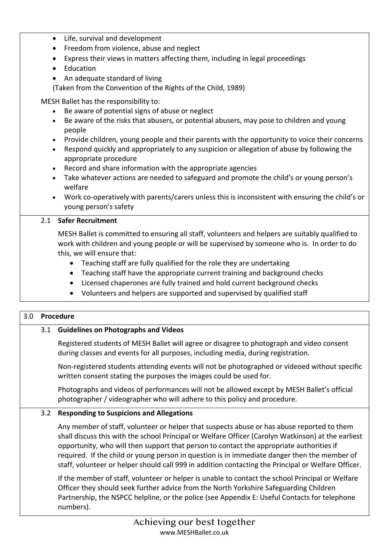- Life, survival and development
- Freedom from violence, abuse and neglect
- Express their views in matters affecting them, including in legal proceedings
- Education
- An adequate standard of living

(Taken from the Convention of the Rights of the Child, 1989)

MESH Ballet has the responsibility to:

- Be aware of potential signs of abuse or neglect
- Be aware of the risks that abusers, or potential abusers, may pose to children and young people
- Provide children, young people and their parents with the opportunity to voice their concerns
- Respond quickly and appropriately to any suspicion or allegation of abuse by following the appropriate procedure
- Record and share information with the appropriate agencies
- Take whatever actions are needed to safeguard and promote the child's or young person's welfare
- Work co-operatively with parents/carers unless this is inconsistent with ensuring the child's or young person's safety

### 2.1 **Safer Recruitment**

MESH Ballet is committed to ensuring all staff, volunteers and helpers are suitably qualified to work with children and young people or will be supervised by someone who is. In order to do this, we will ensure that:

- Teaching staff are fully qualified for the role they are undertaking
- Teaching staff have the appropriate current training and background checks
- Licensed chaperones are fully trained and hold current background checks
- Volunteers and helpers are supported and supervised by qualified staff

#### 3.0 **Procedure**

## 3.1 **Guidelines on Photographs and Videos**

Registered students of MESH Ballet will agree or disagree to photograph and video consent during classes and events for all purposes, including media, during registration.

Non-registered students attending events will not be photographed or videoed without specific written consent stating the purposes the images could be used for.

Photographs and videos of performances will not be allowed except by MESH Ballet's official photographer / videographer who will adhere to this policy and procedure.

#### 3.2 **Responding to Suspicions and Allegations**

Any member of staff, volunteer or helper that suspects abuse or has abuse reported to them shall discuss this with the school Principal or Welfare Officer (Carolyn Watkinson) at the earliest opportunity, who will then support that person to contact the appropriate authorities if required. If the child or young person in question is in immediate danger then the member of staff, volunteer or helper should call 999 in addition contacting the Principal or Welfare Officer.

If the member of staff, volunteer or helper is unable to contact the school Principal or Welfare Officer they should seek further advice from the North Yorkshire Safeguarding Children Partnership, the NSPCC helpline, or the police (see Appendix E: Useful Contacts for telephone numbers).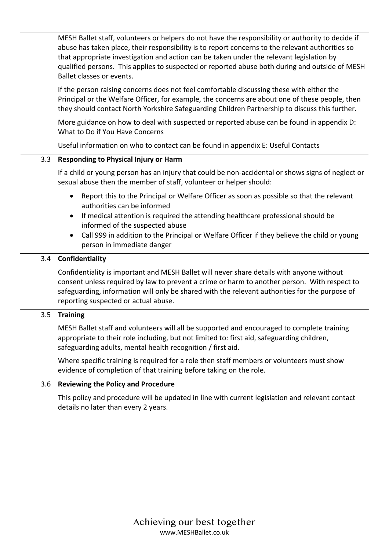|     | MESH Ballet staff, volunteers or helpers do not have the responsibility or authority to decide if<br>abuse has taken place, their responsibility is to report concerns to the relevant authorities so<br>that appropriate investigation and action can be taken under the relevant legislation by<br>qualified persons. This applies to suspected or reported abuse both during and outside of MESH<br>Ballet classes or events. |
|-----|----------------------------------------------------------------------------------------------------------------------------------------------------------------------------------------------------------------------------------------------------------------------------------------------------------------------------------------------------------------------------------------------------------------------------------|
|     | If the person raising concerns does not feel comfortable discussing these with either the<br>Principal or the Welfare Officer, for example, the concerns are about one of these people, then<br>they should contact North Yorkshire Safeguarding Children Partnership to discuss this further.                                                                                                                                   |
|     | More guidance on how to deal with suspected or reported abuse can be found in appendix D:<br>What to Do if You Have Concerns                                                                                                                                                                                                                                                                                                     |
|     | Useful information on who to contact can be found in appendix E: Useful Contacts                                                                                                                                                                                                                                                                                                                                                 |
| 3.3 | <b>Responding to Physical Injury or Harm</b>                                                                                                                                                                                                                                                                                                                                                                                     |
|     | If a child or young person has an injury that could be non-accidental or shows signs of neglect or<br>sexual abuse then the member of staff, volunteer or helper should:                                                                                                                                                                                                                                                         |
|     | Report this to the Principal or Welfare Officer as soon as possible so that the relevant<br>$\bullet$<br>authorities can be informed<br>If medical attention is required the attending healthcare professional should be<br>informed of the suspected abuse<br>Call 999 in addition to the Principal or Welfare Officer if they believe the child or young<br>person in immediate danger                                         |
| 3.4 | Confidentiality                                                                                                                                                                                                                                                                                                                                                                                                                  |
|     | Confidentiality is important and MESH Ballet will never share details with anyone without<br>consent unless required by law to prevent a crime or harm to another person. With respect to<br>safeguarding, information will only be shared with the relevant authorities for the purpose of<br>reporting suspected or actual abuse.                                                                                              |
| 3.5 | <b>Training</b>                                                                                                                                                                                                                                                                                                                                                                                                                  |
|     | MESH Ballet staff and volunteers will all be supported and encouraged to complete training<br>appropriate to their role including, but not limited to: first aid, safeguarding children,<br>safeguarding adults, mental health recognition / first aid.                                                                                                                                                                          |
|     | Where specific training is required for a role then staff members or volunteers must show<br>evidence of completion of that training before taking on the role.                                                                                                                                                                                                                                                                  |
| 3.6 | <b>Reviewing the Policy and Procedure</b>                                                                                                                                                                                                                                                                                                                                                                                        |
|     | This policy and procedure will be updated in line with current legislation and relevant contact<br>details no later than every 2 years.                                                                                                                                                                                                                                                                                          |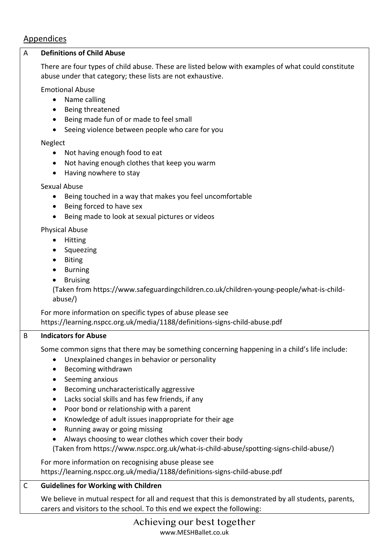## Appendices A **Definitions of Child Abuse**  There are four types of child abuse. These are listed below with examples of what could constitute abuse under that category; these lists are not exhaustive. Emotional Abuse • Name calling • Being threatened • Being made fun of or made to feel small • Seeing violence between people who care for you Neglect • Not having enough food to eat • Not having enough clothes that keep you warm • Having nowhere to stay Sexual Abuse • Being touched in a way that makes you feel uncomfortable • Being forced to have sex • Being made to look at sexual pictures or videos Physical Abuse • Hitting • Squeezing • Biting • Burning • Bruising (Taken from https://www.safeguardingchildren.co.uk/children-young-people/what-is-childabuse/) For more information on specific types of abuse please see https://learning.nspcc.org.uk/media/1188/definitions-signs-child-abuse.pdf B **Indicators for Abuse** Some common signs that there may be something concerning happening in a child's life include: • Unexplained changes in behavior or personality • Becoming withdrawn • Seeming anxious • Becoming uncharacteristically aggressive • Lacks social skills and has few friends, if any • Poor bond or relationship with a parent • Knowledge of adult issues inappropriate for their age • Running away or going missing • Always choosing to wear clothes which cover their body (Taken from https://www.nspcc.org.uk/what-is-child-abuse/spotting-signs-child-abuse/) For more information on recognising abuse please see https://learning.nspcc.org.uk/media/1188/definitions-signs-child-abuse.pdf C **Guidelines for Working with Children**

We believe in mutual respect for all and request that this is demonstrated by all students, parents, carers and visitors to the school. To this end we expect the following: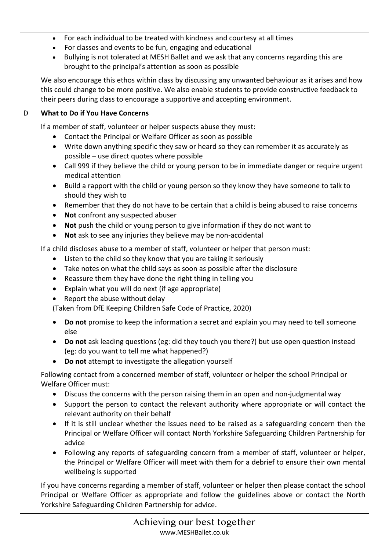- For each individual to be treated with kindness and courtesy at all times
- For classes and events to be fun, engaging and educational
- Bullying is not tolerated at MESH Ballet and we ask that any concerns regarding this are brought to the principal's attention as soon as possible

We also encourage this ethos within class by discussing any unwanted behaviour as it arises and how this could change to be more positive. We also enable students to provide constructive feedback to their peers during class to encourage a supportive and accepting environment.

#### D **What to Do if You Have Concerns**

If a member of staff, volunteer or helper suspects abuse they must:

- Contact the Principal or Welfare Officer as soon as possible
- Write down anything specific they saw or heard so they can remember it as accurately as possible – use direct quotes where possible
- Call 999 if they believe the child or young person to be in immediate danger or require urgent medical attention
- Build a rapport with the child or young person so they know they have someone to talk to should they wish to
- Remember that they do not have to be certain that a child is being abused to raise concerns
- **Not** confront any suspected abuser
- **Not** push the child or young person to give information if they do not want to
- **Not** ask to see any injuries they believe may be non-accidental

If a child discloses abuse to a member of staff, volunteer or helper that person must:

- Listen to the child so they know that you are taking it seriously
- Take notes on what the child says as soon as possible after the disclosure
- Reassure them they have done the right thing in telling you
- Explain what you will do next (if age appropriate)
- Report the abuse without delay

(Taken from DfE Keeping Children Safe Code of Practice, 2020)

- **Do not** promise to keep the information a secret and explain you may need to tell someone else
- **Do not** ask leading questions (eg: did they touch you there?) but use open question instead (eg: do you want to tell me what happened?)
- **Do not** attempt to investigate the allegation yourself

Following contact from a concerned member of staff, volunteer or helper the school Principal or Welfare Officer must:

- Discuss the concerns with the person raising them in an open and non-judgmental way
- Support the person to contact the relevant authority where appropriate or will contact the relevant authority on their behalf
- If it is still unclear whether the issues need to be raised as a safeguarding concern then the Principal or Welfare Officer will contact North Yorkshire Safeguarding Children Partnership for advice
- Following any reports of safeguarding concern from a member of staff, volunteer or helper, the Principal or Welfare Officer will meet with them for a debrief to ensure their own mental wellbeing is supported

If you have concerns regarding a member of staff, volunteer or helper then please contact the school Principal or Welfare Officer as appropriate and follow the guidelines above or contact the North Yorkshire Safeguarding Children Partnership for advice.